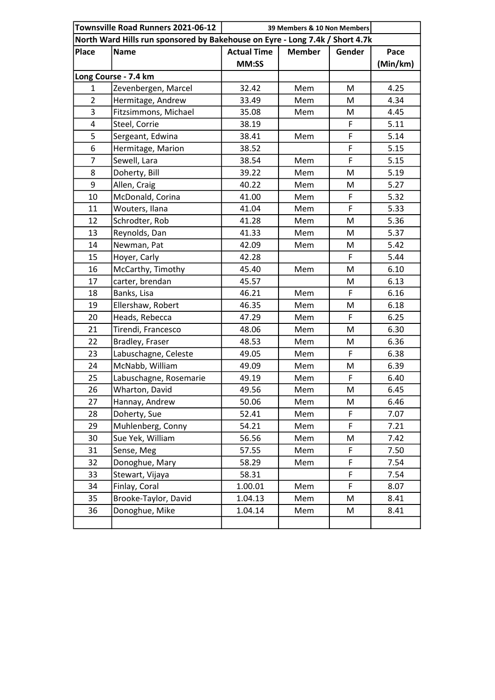| Townsville Road Runners 2021-06-12<br>39 Members & 10 Non Members            |                        |                    |               |        |          |  |
|------------------------------------------------------------------------------|------------------------|--------------------|---------------|--------|----------|--|
| North Ward Hills run sponsored by Bakehouse on Eyre - Long 7.4k / Short 4.7k |                        |                    |               |        |          |  |
| <b>Place</b>                                                                 | <b>Name</b>            | <b>Actual Time</b> | <b>Member</b> | Gender | Pace     |  |
|                                                                              |                        | MM:SS              |               |        | (Min/km) |  |
|                                                                              | Long Course - 7.4 km   |                    |               |        |          |  |
| 1                                                                            | Zevenbergen, Marcel    | 32.42              | Mem           | M      | 4.25     |  |
| $\overline{2}$                                                               | Hermitage, Andrew      | 33.49              | Mem           | M      | 4.34     |  |
| 3                                                                            | Fitzsimmons, Michael   | 35.08              | Mem           | M      | 4.45     |  |
| 4                                                                            | Steel, Corrie          | 38.19              |               | F      | 5.11     |  |
| 5                                                                            | Sergeant, Edwina       | 38.41              | Mem           | F      | 5.14     |  |
| 6                                                                            | Hermitage, Marion      | 38.52              |               | F      | 5.15     |  |
| $\overline{7}$                                                               | Sewell, Lara           | 38.54              | Mem           | F      | 5.15     |  |
| 8                                                                            | Doherty, Bill          | 39.22              | Mem           | M      | 5.19     |  |
| 9                                                                            | Allen, Craig           | 40.22              | Mem           | M      | 5.27     |  |
| 10                                                                           | McDonald, Corina       | 41.00              | Mem           | F      | 5.32     |  |
| 11                                                                           | Wouters, Ilana         | 41.04              | Mem           | F      | 5.33     |  |
| 12                                                                           | Schrodter, Rob         | 41.28              | Mem           | M      | 5.36     |  |
| 13                                                                           | Reynolds, Dan          | 41.33              | Mem           | M      | 5.37     |  |
| 14                                                                           | Newman, Pat            | 42.09              | Mem           | M      | 5.42     |  |
| 15                                                                           | Hoyer, Carly           | 42.28              |               | F      | 5.44     |  |
| 16                                                                           | McCarthy, Timothy      | 45.40              | Mem           | M      | 6.10     |  |
| 17                                                                           | carter, brendan        | 45.57              |               | M      | 6.13     |  |
| 18                                                                           | Banks, Lisa            | 46.21              | Mem           | F      | 6.16     |  |
| 19                                                                           | Ellershaw, Robert      | 46.35              | Mem           | M      | 6.18     |  |
| 20                                                                           | Heads, Rebecca         | 47.29              | Mem           | F      | 6.25     |  |
| 21                                                                           | Tirendi, Francesco     | 48.06              | Mem           | M      | 6.30     |  |
| 22                                                                           | Bradley, Fraser        | 48.53              | Mem           | M      | 6.36     |  |
| 23                                                                           | Labuschagne, Celeste   | 49.05              | Mem           | F      | 6.38     |  |
| 24                                                                           | McNabb, William        | 49.09              | Mem           | M      | 6.39     |  |
| 25                                                                           | Labuschagne, Rosemarie | 49.19              | Mem           | F      | 6.40     |  |
| 26                                                                           | Wharton, David         | 49.56              | Mem           | M      | 6.45     |  |
| 27                                                                           | Hannay, Andrew         | 50.06              | Mem           | M      | 6.46     |  |
| 28                                                                           | Doherty, Sue           | 52.41              | Mem           | F      | 7.07     |  |
| 29                                                                           | Muhlenberg, Conny      | 54.21              | Mem           | F      | 7.21     |  |
| 30                                                                           | Sue Yek, William       | 56.56              | Mem           | M      | 7.42     |  |
| 31                                                                           | Sense, Meg             | 57.55              | Mem           | F      | 7.50     |  |
| 32                                                                           | Donoghue, Mary         | 58.29              | Mem           | F      | 7.54     |  |
| 33                                                                           | Stewart, Vijaya        | 58.31              |               | F      | 7.54     |  |
| 34                                                                           | Finlay, Coral          | 1.00.01            | Mem           | F      | 8.07     |  |
| 35                                                                           | Brooke-Taylor, David   | 1.04.13            | Mem           | M      | 8.41     |  |
| 36                                                                           | Donoghue, Mike         | 1.04.14            | Mem           | М      | 8.41     |  |
|                                                                              |                        |                    |               |        |          |  |